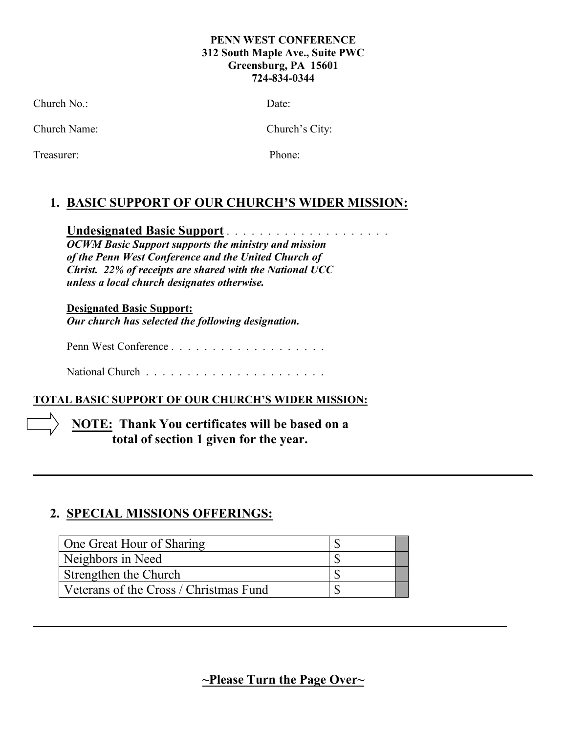#### **PENN WEST CONFERENCE 312 South Maple Ave., Suite PWC Greensburg, PA 15601 724-834-0344**

Church No.: Date:

Church Name: Church's City:

Treasurer: Phone:

# **1. BASIC SUPPORT OF OUR CHURCH'S WIDER MISSION:**

**Undesignated Basic Support** . . . . . . . . . . . . . . . . . . . . *OCWM Basic Support supports the ministry and mission of the Penn West Conference and the United Church of Christ. 22% of receipts are shared with the National UCC* 

*unless a local church designates otherwise.*

**Designated Basic Support:** *Our church has selected the following designation.*

Penn West Conference . . . . . . . . . . . . . . . . . . .

National Church . . . . . . . . . . . . . . . . . . . . . .

## **TOTAL BASIC SUPPORT OF OUR CHURCH'S WIDER MISSION:**

**NOTE: Thank You certificates will be based on a total of section 1 given for the year.** 

# **2. SPECIAL MISSIONS OFFERINGS:**

| One Great Hour of Sharing              |  |
|----------------------------------------|--|
| Neighbors in Need                      |  |
| Strengthen the Church                  |  |
| Veterans of the Cross / Christmas Fund |  |

**~Please Turn the Page Over~**

**\_\_\_\_\_\_\_\_\_\_\_\_\_\_\_\_\_\_\_\_\_\_\_\_\_\_\_\_\_\_\_\_\_\_\_\_\_\_\_\_\_\_\_\_\_\_\_\_\_\_\_\_\_\_\_\_\_\_\_\_\_\_\_\_\_\_\_\_\_\_\_\_\_**

**\_\_\_\_\_\_\_\_\_\_\_\_\_\_\_\_\_\_\_\_\_\_\_\_\_\_\_\_\_\_\_\_\_\_\_\_\_\_\_\_\_\_\_\_\_\_\_\_\_\_\_\_\_\_\_\_\_\_\_\_\_\_\_\_\_\_\_\_\_\_\_\_\_\_\_\_\_**